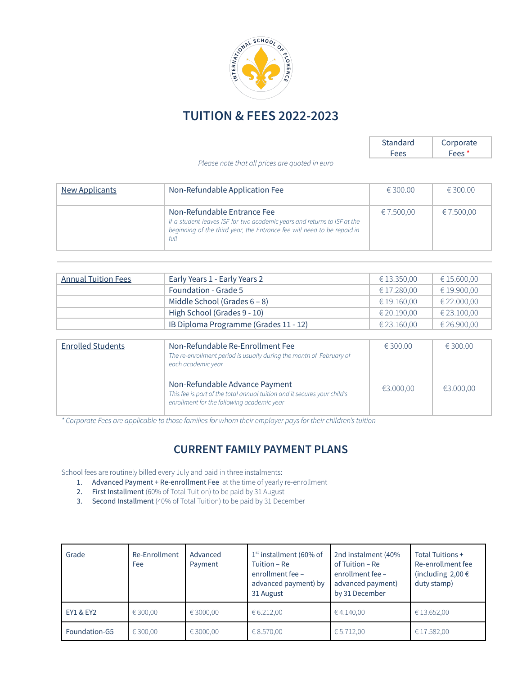

# **TUITION & FEES 2022-2023**

| Standard    | Corporate         |
|-------------|-------------------|
| <b>Fees</b> | Fees <sup>*</sup> |

*Please note that all prices are quoted in euro*

| <b>New Applicants</b> | Non-Refundable Application Fee                                                                                                                                                             | € 300.00   | € 300.00   |
|-----------------------|--------------------------------------------------------------------------------------------------------------------------------------------------------------------------------------------|------------|------------|
|                       | Non-Refundable Entrance Fee<br>If a student leaves ISF for two academic years and returns to ISF at the<br>beginning of the third year, the Entrance fee will need to be repaid in<br>full | € 7.500,00 | € 7.500,00 |

| <b>Annual Tuition Fees</b> | Early Years 1 - Early Years 2         | € 13.350,00 | € 15.600,00 |
|----------------------------|---------------------------------------|-------------|-------------|
|                            | <b>Foundation - Grade 5</b>           | € 17.280,00 | € 19.900,00 |
|                            | Middle School (Grades $6 - 8$ )       | € 19.160,00 | € 22.000,00 |
|                            | High School (Grades 9 - 10)           | € 20.190,00 | € 23.100,00 |
|                            | IB Diploma Programme (Grades 11 - 12) | € 23.160.00 | € 26.900,00 |

| <b>Enrolled Students</b> | Non-Refundable Re-Enrollment Fee<br>The re-enrollment period is usually during the month of February of<br>each academic year                            |           | € 300.00  |
|--------------------------|----------------------------------------------------------------------------------------------------------------------------------------------------------|-----------|-----------|
|                          | Non-Refundable Advance Payment<br>This fee is part of the total annual tuition and it secures your child's<br>enrollment for the following academic year | €3.000,00 | €3.000,00 |

\*Corporate Fees are applicable to those families for whom their employer pays for their children's tuition

# **CURRENT FAMILY PAYMENT PLANS**

School fees are routinely billed every July and paid in three instalments:

- 1. Advanced Payment + Re-enrollment Fee at the time of yearly re-enrollment
- 2. First Installment (60% of Total Tuition) to be paid by 31 August
- 3. Second Installment (40% of Total Tuition) to be paid by 31 December

| Grade         | Re-Enrollment<br>Fee | Advanced<br>Payment | $1st$ installment (60% of<br>Tuition - Re<br>enrollment fee -<br>advanced payment) by<br>31 August | 2nd instalment (40%<br>of Tuition - Re<br>enrollment fee -<br>advanced payment)<br>by 31 December | Total Tuitions +<br>Re-enrollment fee<br>(including $2,00 \in$<br>duty stamp) |
|---------------|----------------------|---------------------|----------------------------------------------------------------------------------------------------|---------------------------------------------------------------------------------------------------|-------------------------------------------------------------------------------|
| EY1 & EY2     | € 300.00             | € 3000.00           | € 6.212.00                                                                                         | €4.140,00                                                                                         | €13.652,00                                                                    |
| Foundation-G5 | € 300,00             | € 3000,00           | € 8.570,00                                                                                         | € 5.712,00                                                                                        | € 17.582,00                                                                   |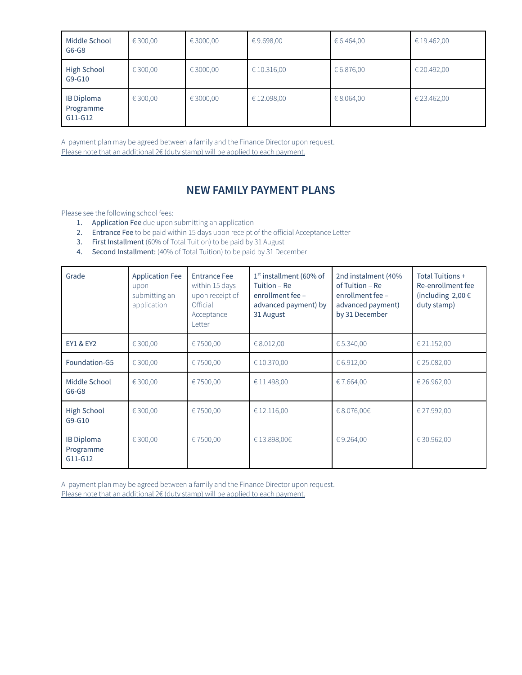| Middle School<br>$G6-G8$                    | € 300,00 | €3000,00  | €9.698,00   | € 6.464,00 | € 19.462,00 |
|---------------------------------------------|----------|-----------|-------------|------------|-------------|
| <b>High School</b><br>G9-G10                | € 300,00 | €3000,00  | € 10.316,00 | € 6.876,00 | € 20.492,00 |
| <b>IB Diploma</b><br>Programme<br>$G11-G12$ | € 300,00 | € 3000,00 | € 12.098,00 | € 8.064,00 | € 23.462,00 |

A payment plan may be agreed between a family and the Finance Director upon request. Please note that an additional 2€ (duty stamp) will be applied to each payment.

### **NEW FAMILY PAYMENT PLANS**

Please see the following school fees:

- 1. Application Fee due upon submitting an application
- 2. Entrance Fee to be paid within 15 days upon receipt of the official Acceptance Letter
- 3. First Installment (60% of Total Tuition) to be paid by 31 August
- 4. Second Installment: (40% of Total Tuition) to be paid by 31 December

| Grade                                     | <b>Application Fee</b><br>upon<br>submitting an<br>application | <b>Entrance Fee</b><br>within 15 days<br>upon receipt of<br>Official<br>Acceptance<br><b>Letter</b> | $1st$ installment (60% of<br>Tuition – Re<br>enrollment fee -<br>advanced payment) by<br>31 August | 2nd instalment (40%<br>of Tuition - Re<br>enrollment fee -<br>advanced payment)<br>by 31 December | Total Tuitions +<br>Re-enrollment fee<br>(including $2,00 \in$<br>duty stamp) |
|-------------------------------------------|----------------------------------------------------------------|-----------------------------------------------------------------------------------------------------|----------------------------------------------------------------------------------------------------|---------------------------------------------------------------------------------------------------|-------------------------------------------------------------------------------|
| <b>EY1 &amp; EY2</b>                      | € 300,00                                                       | €7500,00                                                                                            | € 8.012,00                                                                                         | €5.340,00                                                                                         | € 21.152,00                                                                   |
| Foundation-G5                             | € 300,00                                                       | €7500,00                                                                                            | € 10.370,00                                                                                        | €6.912,00                                                                                         | € 25.082,00                                                                   |
| Middle School<br>$G6-G8$                  | € 300,00                                                       | €7500,00                                                                                            | € 11.498,00                                                                                        | €7.664,00                                                                                         | € 26.962,00                                                                   |
| <b>High School</b><br>$G9-G10$            | € 300,00                                                       | €7500,00                                                                                            | € 12.116,00                                                                                        | €8.076,00€                                                                                        | € 27.992,00                                                                   |
| <b>IB Diploma</b><br>Programme<br>G11-G12 | € 300,00                                                       | €7500,00                                                                                            | €13.898,00€                                                                                        | €9.264,00                                                                                         | €30.962,00                                                                    |

A payment plan may be agreed between a family and the Finance Director upon request. Please note that an additional 2€ (duty stamp) will be applied to each payment.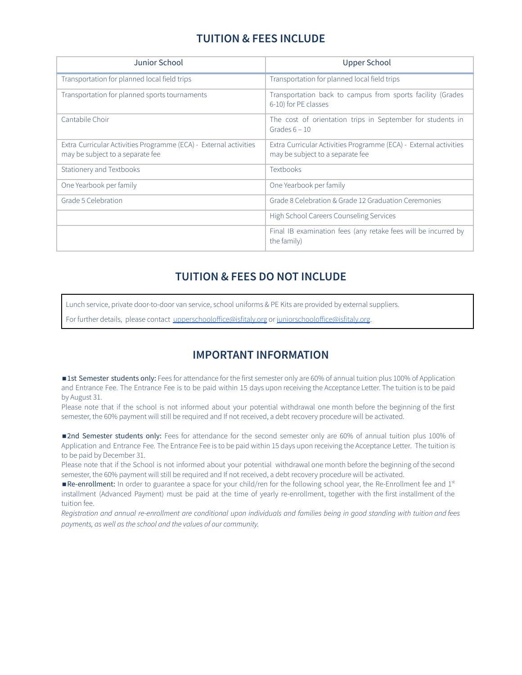# **TUITION & FEES INCLUDE**

| Junior School                                                                                         | Upper School                                                                                          |
|-------------------------------------------------------------------------------------------------------|-------------------------------------------------------------------------------------------------------|
| Transportation for planned local field trips                                                          | Transportation for planned local field trips                                                          |
| Transportation for planned sports tournaments                                                         | Transportation back to campus from sports facility (Grades<br>6-10) for PE classes                    |
| Cantabile Choir                                                                                       | The cost of orientation trips in September for students in<br>Grades $6 - 10$                         |
| Extra Curricular Activities Programme (ECA) - External activities<br>may be subject to a separate fee | Extra Curricular Activities Programme (ECA) - External activities<br>may be subject to a separate fee |
| Stationery and Textbooks                                                                              | <b>Textbooks</b>                                                                                      |
| One Yearbook per family                                                                               | One Yearbook per family                                                                               |
| Grade 5 Celebration                                                                                   | Grade 8 Celebration & Grade 12 Graduation Ceremonies                                                  |
|                                                                                                       | High School Careers Counseling Services                                                               |
|                                                                                                       | Final IB examination fees (any retake fees will be incurred by<br>the family)                         |

### **TUITION & FEES DO NOT INCLUDE**

Lunch service, private door-to-door van service, school uniforms & PE Kits are provided by external suppliers.

For further details, please contact [upperschooloffice@isfitaly.org](mailto:admin.gat@isfitaly.org) or [juniorschooloffice@isfitaly.org](mailto:admin.tav@isfitaly.org).

#### **IMPORTANT INFORMATION**

■1st Semester students only: Fees for attendance for the first semester only are 60% of annual tuition plus 100% of Application and Entrance Fee. The Entrance Fee is to be paid within 15 days upon receiving the Acceptance Letter. The tuition is to be paid by August 31.

Please note that if the school is not informed about your potential withdrawal one month before the beginning of the first semester, the 60% payment will still be required and If not received, a debt recovery procedure will be activated.

■2nd Semester students only: Fees for attendance for the second semester only are 60% of annual tuition plus 100% of Application and Entrance Fee. The Entrance Fee is to be paid within 15 days upon receiving the Acceptance Letter. The tuition is to be paid by December 31.

Please note that if the School is not informed about your potential withdrawal one month before the beginning of the second semester, the 60% payment will still be required and If not received, a debt recovery procedure will be activated.

Re-enrollment: In order to guarantee a space for your child/ren for the following school year, the Re-Enrollment fee and 1st installment (Advanced Payment) must be paid at the time of yearly re-enrollment, together with the first installment of the tuition fee.

Registration and annual re-enrollment are conditional upon individuals and families being in good standing with tuition and fees *payments, as well as the school and the values of our community.*